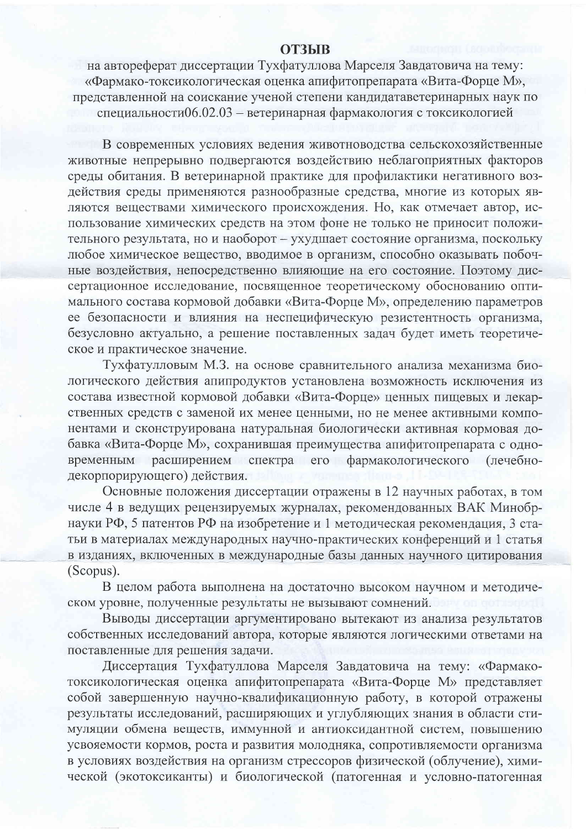## **ОТЗЫВ**

на автореферат диссертации Тухфатуллова Марселя Завдатовича на тему: «Фармако-токсикологическая оценка апифитопрепарата «Вита-Форце М», представленной на соискание ученой степени кандидатаветеринарных наук по специальности06.02.03 - ветеринарная фармакология с токсикологией

В современных условиях ведения животноводства сельскохозяйственные животные непрерывно подвергаются воздействию неблагоприятных факторов среды обитания. В ветеринарной практике для профилактики негативного воздействия среды применяются разнообразные средства, многие из которых являются веществами химического происхождения. Но, как отмечает автор, использование химических средств на этом фоне не только не приносит положительного результата, но и наоборот - ухудшает состояние организма, поскольку любое химическое вещество, вводимое в организм, способно оказывать побочные воздействия, непосредственно влияющие на его состояние. Поэтому диссертационное исследование, посвященное теоретическому обоснованию оптимального состава кормовой добавки «Вита-Форце М», определению параметров ее безопасности и влияния на неспецифическую резистентность организма, безусловно актуально, а решение поставленных задач будет иметь теоретическое и практическое значение.

Тухфатулловым М.З. на основе сравнительного анализа механизма биологического действия апипродуктов установлена возможность исключения из состава известной кормовой добавки «Вита-Форце» ценных пищевых и лекарственных средств с заменой их менее ценными, но не менее активными компонентами и сконструирована натуральная биологически активная кормовая добавка «Вита-Форце М», сохранившая преимущества апифитопрепарата с одновременным расширением спектра его фармакологического (лечебнодекорпорирующего) действия.

Основные положения диссертации отражены в 12 научных работах, в том числе 4 в ведущих рецензируемых журналах, рекомендованных ВАК Минобрнауки РФ, 5 патентов РФ на изобретение и 1 методическая рекомендация, 3 статьи в материалах международных научно-практических конференций и 1 статья в изданиях, включенных в международные базы данных научного цитирования (Scopus).

В целом работа выполнена на достаточно высоком научном и методическом уровне, полученные результаты не вызывают сомнений.

Выводы диссертации аргументировано вытекают из анализа результатов собственных исследований автора, которые являются логическими ответами на поставленные для решения задачи.

Диссертация Тухфатуллова Марселя Завдатовича на тему: «Фармакотоксикологическая оценка апифитопрепарата «Вита-Форце М» представляет собой завершенную научно-квалификационную работу, в которой отражены результаты исследований, расширяющих и углубляющих знания в области стимуляции обмена веществ, иммунной и антиоксидантной систем, повышению усвояемости кормов, роста и развития молодняка, сопротивляемости организма в условиях воздействия на организм стрессоров физической (облучение), химической (экотоксиканты) и биологической (патогенная и условно-патогенная